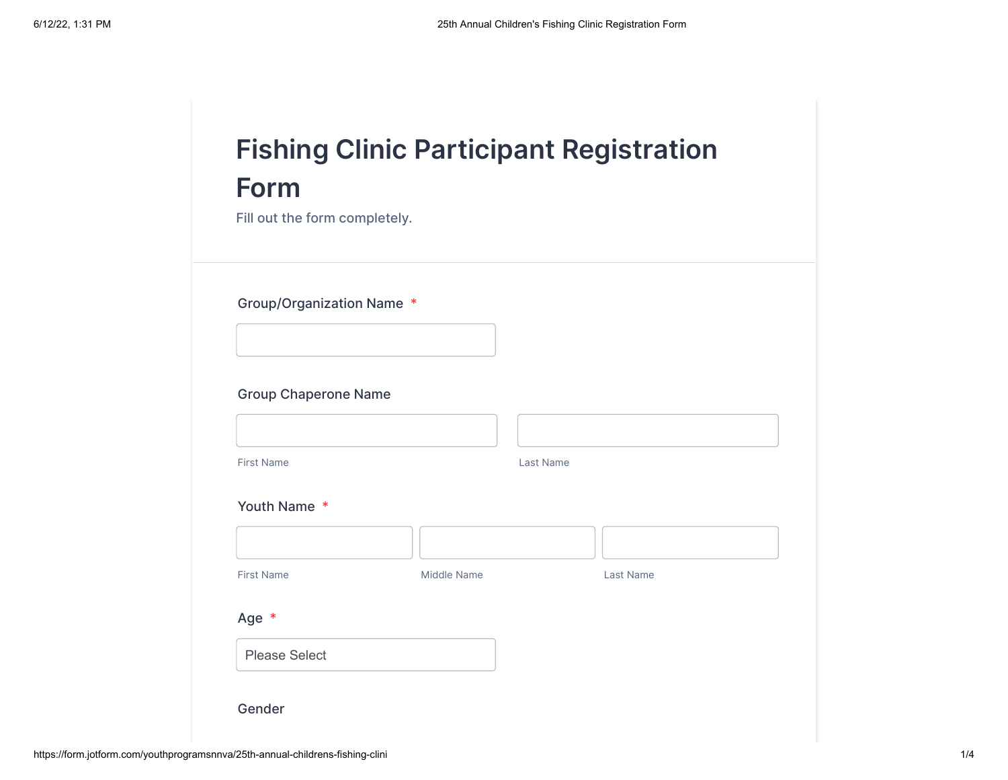| <b>Form</b>                   |             | <b>Fishing Clinic Participant Registration</b> |
|-------------------------------|-------------|------------------------------------------------|
| Fill out the form completely. |             |                                                |
| Group/Organization Name *     |             |                                                |
|                               |             |                                                |
| <b>Group Chaperone Name</b>   |             |                                                |
| <b>First Name</b>             |             | Last Name                                      |
| Youth Name *                  |             |                                                |
|                               |             |                                                |
| <b>First Name</b>             | Middle Name | <b>Last Name</b>                               |
| Age *                         |             |                                                |
|                               |             |                                                |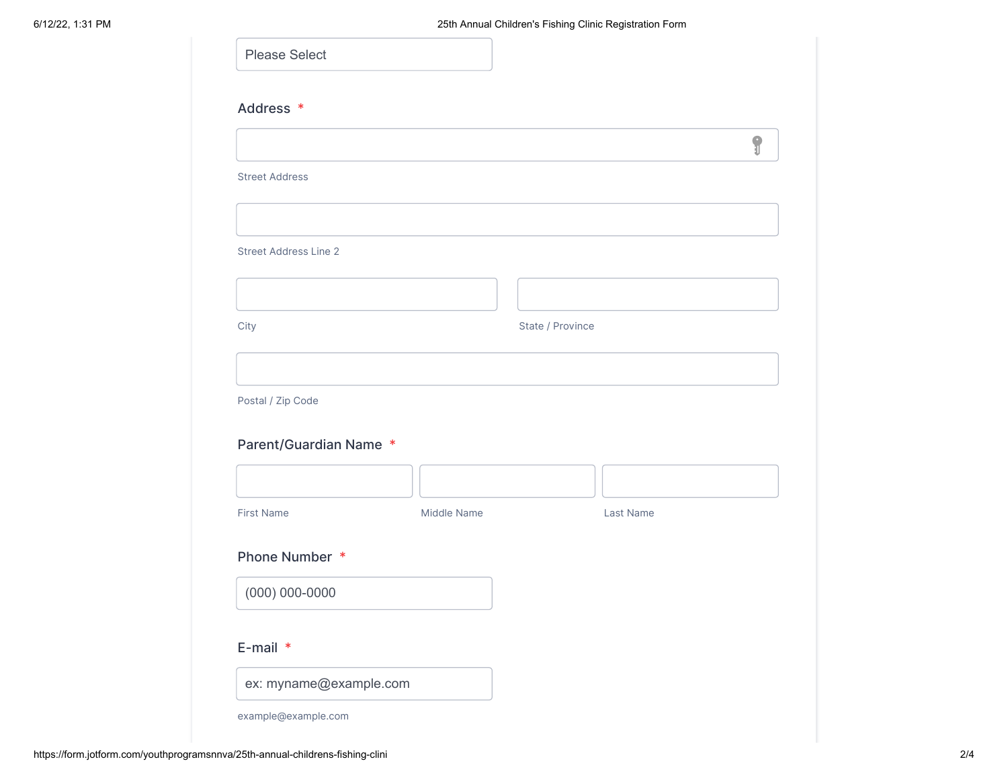| <b>Please Select</b>         |             |                  |           |   |
|------------------------------|-------------|------------------|-----------|---|
| Address *                    |             |                  |           |   |
|                              |             |                  |           | 9 |
| <b>Street Address</b>        |             |                  |           |   |
|                              |             |                  |           |   |
| <b>Street Address Line 2</b> |             |                  |           |   |
|                              |             |                  |           |   |
| City                         |             | State / Province |           |   |
|                              |             |                  |           |   |
| Postal / Zip Code            |             |                  |           |   |
| Parent/Guardian Name *       |             |                  |           |   |
|                              |             |                  |           |   |
| <b>First Name</b>            | Middle Name |                  | Last Name |   |
| Phone Number *               |             |                  |           |   |
| $(000) 000 - 0000$           |             |                  |           |   |
|                              |             |                  |           |   |
| E-mail *                     |             |                  |           |   |
| ex: myname@example.com       |             |                  |           |   |
| example@example.com          |             |                  |           |   |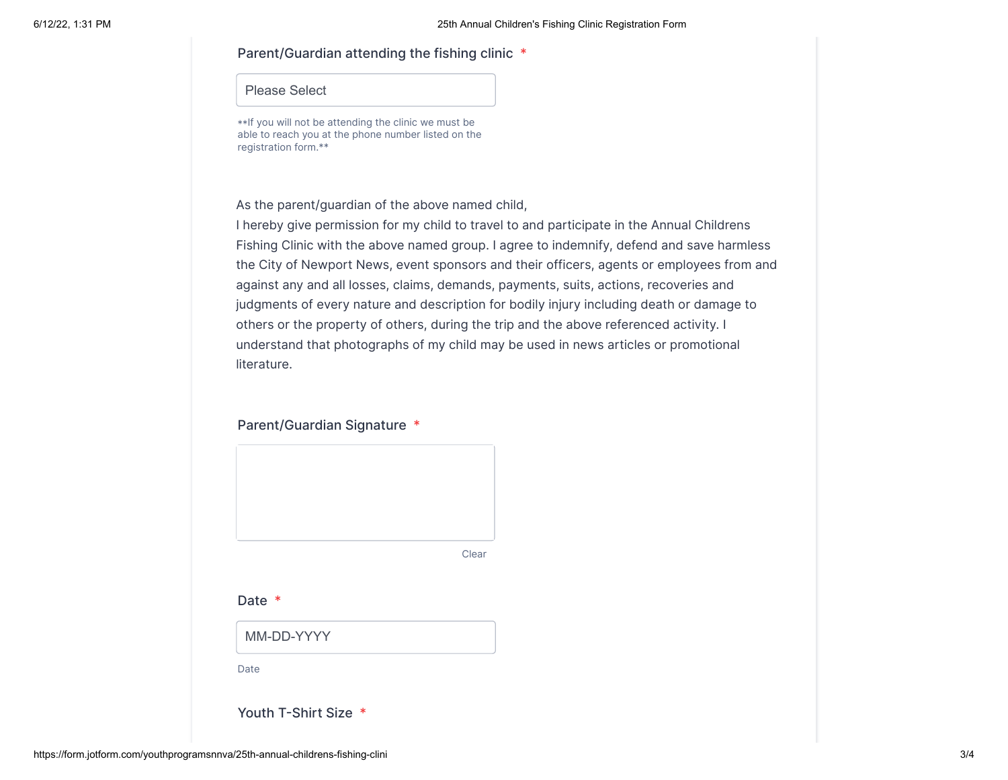## Parent/Guardian attending the fishing clinic \*

## Please Select

\*\*If you will not be attending the clinic we must be able to reach you at the phone number listed on the registration form.\*\*

As the parent/guardian of the above named child,

I hereby give permission for my child to travel to and participate in the Annual Childrens Fishing Clinic with the above named group. I agree to indemnify, defend and save harmless the City of Newport News, event sponsors and their officers, agents or employees from and against any and all losses, claims, demands, payments, suits, actions, recoveries and judgments of every nature and description for bodily injury including death or damage to others or the property of others, during the trip and the above referenced activity. I understand that photographs of my child may be used in news articles or promotional literature.

## Parent/Guardian Signature \*



Clear

Date \*

MM-DD-YYYY

Date

Youth T-Shirt Size \*